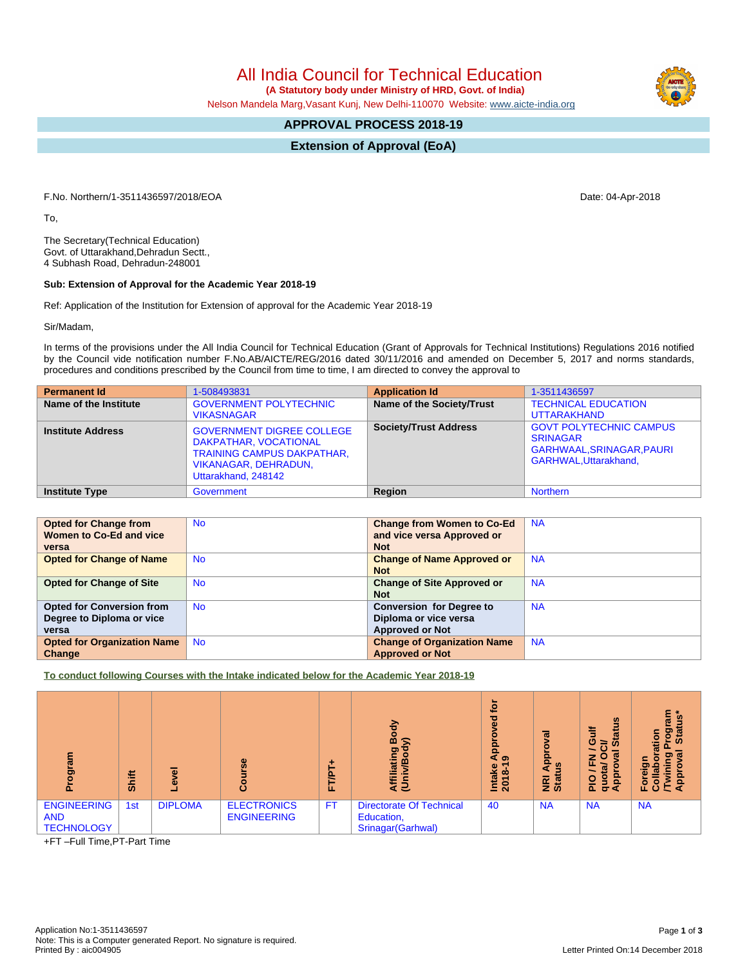All India Council for Technical Education

 **(A Statutory body under Ministry of HRD, Govt. of India)**

Nelson Mandela Marg,Vasant Kunj, New Delhi-110070 Website: [www.aicte-india.org](http://www.aicte-india.org)

## **APPROVAL PROCESS 2018-19**

**Extension of Approval (EoA)**

F.No. Northern/1-3511436597/2018/EOA Date: 04-Apr-2018

To,

The Secretary(Technical Education) Govt. of Uttarakhand,Dehradun Sectt., 4 Subhash Road, Dehradun-248001

## **Sub: Extension of Approval for the Academic Year 2018-19**

Ref: Application of the Institution for Extension of approval for the Academic Year 2018-19

Sir/Madam,

In terms of the provisions under the All India Council for Technical Education (Grant of Approvals for Technical Institutions) Regulations 2016 notified by the Council vide notification number F.No.AB/AICTE/REG/2016 dated 30/11/2016 and amended on December 5, 2017 and norms standards, procedures and conditions prescribed by the Council from time to time, I am directed to convey the approval to

| <b>Permanent Id</b>      | 1-508493831                                                                                                                                          | <b>Application Id</b>        | 1-3511436597                                                                                                  |
|--------------------------|------------------------------------------------------------------------------------------------------------------------------------------------------|------------------------------|---------------------------------------------------------------------------------------------------------------|
| Name of the Institute    | <b>GOVERNMENT POLYTECHNIC</b><br><b>VIKASNAGAR</b>                                                                                                   | Name of the Society/Trust    | <b>TECHNICAL EDUCATION</b><br><b>UTTARAKHAND</b>                                                              |
| <b>Institute Address</b> | <b>GOVERNMENT DIGREE COLLEGE</b><br>DAKPATHAR, VOCATIONAL<br><b>TRAINING CAMPUS DAKPATHAR,</b><br><b>VIKANAGAR, DEHRADUN,</b><br>Uttarakhand, 248142 | <b>Society/Trust Address</b> | <b>GOVT POLYTECHNIC CAMPUS</b><br><b>SRINAGAR</b><br>GARHWAAL, SRINAGAR, PAURI<br><b>GARHWAL.Uttarakhand.</b> |
| <b>Institute Type</b>    | Government                                                                                                                                           | Region                       | <b>Northern</b>                                                                                               |

| <b>Opted for Change from</b>       | <b>No</b> | <b>Change from Women to Co-Ed</b>  | <b>NA</b> |
|------------------------------------|-----------|------------------------------------|-----------|
| Women to Co-Ed and vice            |           | and vice versa Approved or         |           |
| versa                              |           | <b>Not</b>                         |           |
| <b>Opted for Change of Name</b>    | <b>No</b> | <b>Change of Name Approved or</b>  | <b>NA</b> |
|                                    |           | <b>Not</b>                         |           |
| <b>Opted for Change of Site</b>    | <b>No</b> | <b>Change of Site Approved or</b>  | <b>NA</b> |
|                                    |           | <b>Not</b>                         |           |
| <b>Opted for Conversion from</b>   | <b>No</b> | <b>Conversion for Degree to</b>    | <b>NA</b> |
| Degree to Diploma or vice          |           | Diploma or vice versa              |           |
| versa                              |           | <b>Approved or Not</b>             |           |
| <b>Opted for Organization Name</b> | <b>No</b> | <b>Change of Organization Name</b> | <b>NA</b> |
| Change                             |           | <b>Approved or Not</b>             |           |

**To conduct following Courses with the Intake indicated below for the Academic Year 2018-19**

| me<br>ā<br>ō                                          | <b>Shift</b> | ω              | ω                                        | ë<br>u.   | 공<br>∞<br>s<br>୭<br>œ<br>霞<br>E<br>E<br>S                          | ē<br>Ѣ<br>Ф<br>Ω<br>ō<br>Œ<br>െ<br>Intake<br>2018- | ಹ<br>윤<br><b>SC</b><br><b>Big</b> | <b>SC</b><br>ŧ<br>÷<br>œ<br>ဖ<br>≃<br><b>in</b><br>$\sigma$<br>7<br>œ<br><u>ad</u><br>$\mathsf{S}% _{T}$<br>은<br>σ∢ | w<br>ത<br><b>Sta</b><br>ã<br>о<br>œ<br>ത<br>o.<br>ю<br>힡<br>੮<br>ပ |
|-------------------------------------------------------|--------------|----------------|------------------------------------------|-----------|--------------------------------------------------------------------|----------------------------------------------------|-----------------------------------|---------------------------------------------------------------------------------------------------------------------|--------------------------------------------------------------------|
| <b>ENGINEERING</b><br><b>AND</b><br><b>TECHNOLOGY</b> | 1st          | <b>DIPLOMA</b> | <b>ELECTRONICS</b><br><b>ENGINEERING</b> | <b>FT</b> | <b>Directorate Of Technical</b><br>Education,<br>Srinagar(Garhwal) | 40                                                 | <b>NA</b>                         | <b>NA</b>                                                                                                           | <b>NA</b>                                                          |

+FT –Full Time,PT-Part Time

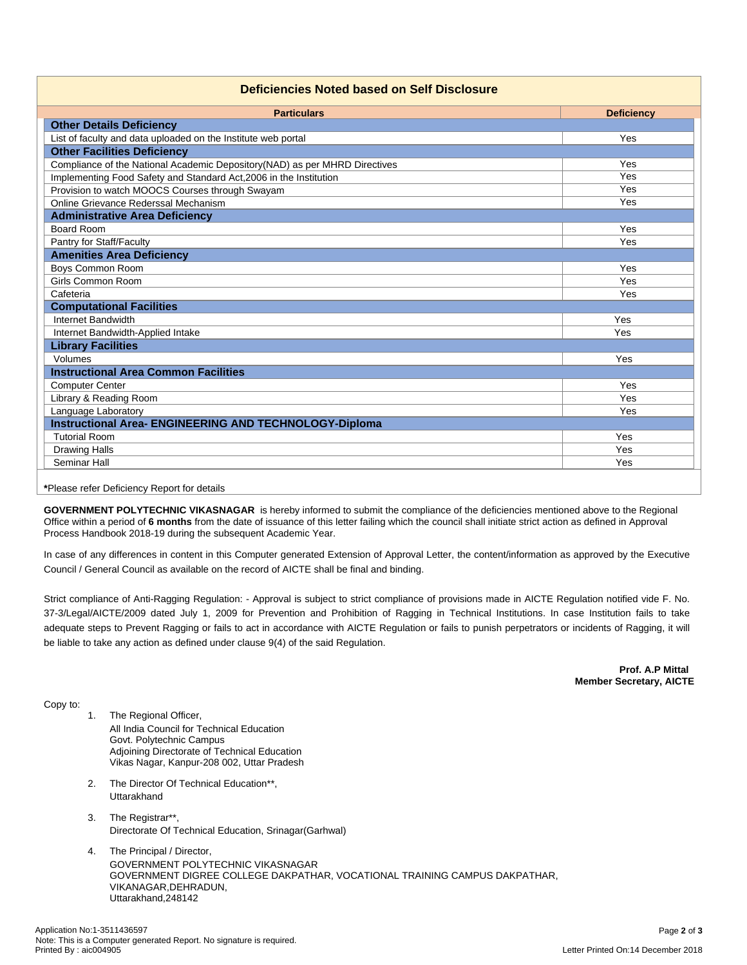| <b>Particulars</b><br><b>Other Details Deficiency</b><br>List of faculty and data uploaded on the Institute web portal<br><b>Other Facilities Deficiency</b><br>Compliance of the National Academic Depository(NAD) as per MHRD Directives | <b>Deficiency</b><br>Yes<br>Yes<br>Yes |  |  |  |  |  |
|--------------------------------------------------------------------------------------------------------------------------------------------------------------------------------------------------------------------------------------------|----------------------------------------|--|--|--|--|--|
|                                                                                                                                                                                                                                            |                                        |  |  |  |  |  |
|                                                                                                                                                                                                                                            |                                        |  |  |  |  |  |
|                                                                                                                                                                                                                                            |                                        |  |  |  |  |  |
|                                                                                                                                                                                                                                            |                                        |  |  |  |  |  |
|                                                                                                                                                                                                                                            |                                        |  |  |  |  |  |
| Implementing Food Safety and Standard Act, 2006 in the Institution                                                                                                                                                                         |                                        |  |  |  |  |  |
| Provision to watch MOOCS Courses through Swayam                                                                                                                                                                                            | Yes                                    |  |  |  |  |  |
| Online Grievance Rederssal Mechanism                                                                                                                                                                                                       | Yes                                    |  |  |  |  |  |
| <b>Administrative Area Deficiency</b>                                                                                                                                                                                                      |                                        |  |  |  |  |  |
| Board Room                                                                                                                                                                                                                                 | Yes                                    |  |  |  |  |  |
| Pantry for Staff/Faculty                                                                                                                                                                                                                   | Yes                                    |  |  |  |  |  |
| <b>Amenities Area Deficiency</b>                                                                                                                                                                                                           |                                        |  |  |  |  |  |
| <b>Boys Common Room</b>                                                                                                                                                                                                                    | Yes                                    |  |  |  |  |  |
| Girls Common Room                                                                                                                                                                                                                          | Yes                                    |  |  |  |  |  |
| Cafeteria                                                                                                                                                                                                                                  | Yes                                    |  |  |  |  |  |
| <b>Computational Facilities</b>                                                                                                                                                                                                            |                                        |  |  |  |  |  |
| Internet Bandwidth                                                                                                                                                                                                                         | Yes                                    |  |  |  |  |  |
| Internet Bandwidth-Applied Intake                                                                                                                                                                                                          | Yes                                    |  |  |  |  |  |
| <b>Library Facilities</b>                                                                                                                                                                                                                  |                                        |  |  |  |  |  |
| Volumes                                                                                                                                                                                                                                    | Yes                                    |  |  |  |  |  |
| <b>Instructional Area Common Facilities</b>                                                                                                                                                                                                |                                        |  |  |  |  |  |
| <b>Computer Center</b>                                                                                                                                                                                                                     | Yes                                    |  |  |  |  |  |
| Library & Reading Room                                                                                                                                                                                                                     | Yes                                    |  |  |  |  |  |
| Language Laboratory                                                                                                                                                                                                                        | Yes                                    |  |  |  |  |  |
| <b>Instructional Area- ENGINEERING AND TECHNOLOGY-Diploma</b>                                                                                                                                                                              |                                        |  |  |  |  |  |
| <b>Tutorial Room</b>                                                                                                                                                                                                                       | Yes                                    |  |  |  |  |  |
| <b>Drawing Halls</b>                                                                                                                                                                                                                       | Yes                                    |  |  |  |  |  |
| Seminar Hall                                                                                                                                                                                                                               | Yes                                    |  |  |  |  |  |

**\***Please refer Deficiency Report for details

**GOVERNMENT POLYTECHNIC VIKASNAGAR** is hereby informed to submit the compliance of the deficiencies mentioned above to the Regional Office within a period of **6 months** from the date of issuance of this letter failing which the council shall initiate strict action as defined in Approval Process Handbook 2018-19 during the subsequent Academic Year.

In case of any differences in content in this Computer generated Extension of Approval Letter, the content/information as approved by the Executive Council / General Council as available on the record of AICTE shall be final and binding.

Strict compliance of Anti-Ragging Regulation: - Approval is subject to strict compliance of provisions made in AICTE Regulation notified vide F. No. 37-3/Legal/AICTE/2009 dated July 1, 2009 for Prevention and Prohibition of Ragging in Technical Institutions. In case Institution fails to take adequate steps to Prevent Ragging or fails to act in accordance with AICTE Regulation or fails to punish perpetrators or incidents of Ragging, it will be liable to take any action as defined under clause 9(4) of the said Regulation.

> **Prof. A.P Mittal Member Secretary, AICTE**

Copy to:

- 1. The Regional Officer, All India Council for Technical Education Govt. Polytechnic Campus Adjoining Directorate of Technical Education Vikas Nagar, Kanpur-208 002, Uttar Pradesh
- 2. The Director Of Technical Education\*\*, Uttarakhand
- 3. The Registrar\*\*, Directorate Of Technical Education, Srinagar(Garhwal)
- 4. The Principal / Director, GOVERNMENT POLYTECHNIC VIKASNAGAR GOVERNMENT DIGREE COLLEGE DAKPATHAR, VOCATIONAL TRAINING CAMPUS DAKPATHAR, VIKANAGAR,DEHRADUN, Uttarakhand,248142